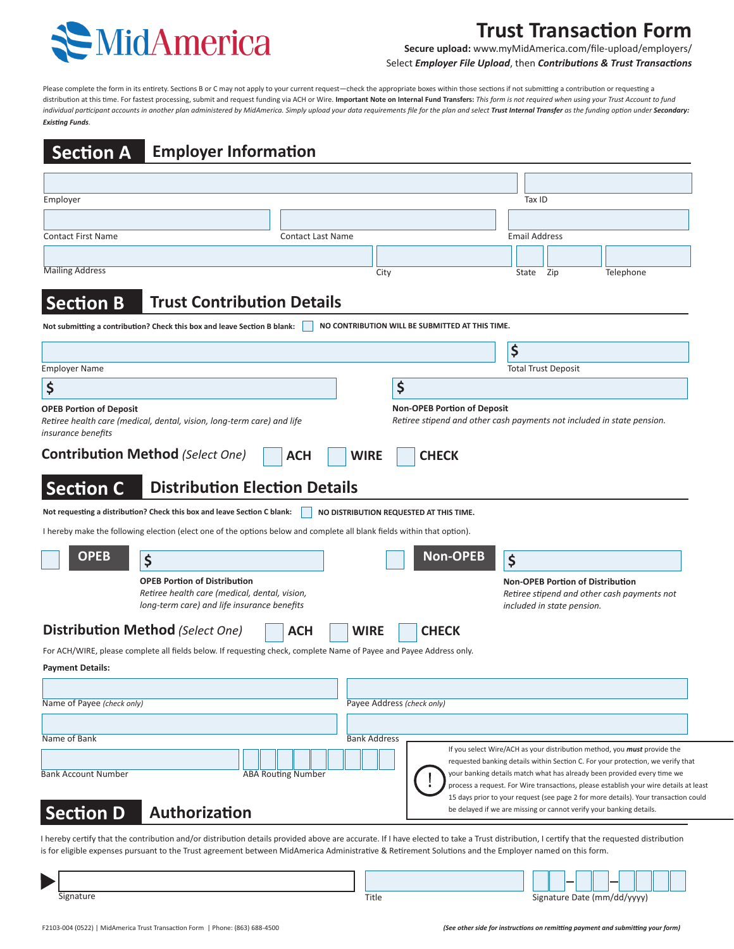

# **Trust Transaction Form**

**Secure upload:** www.myMidAmerica.com/file-upload/employers/ Select *Employer File Upload*, then *Contributions & Trust Transactions*

Please complete the form in its entirety. Sections B or C may not apply to your current request—check the appropriate boxes within those sections if not submitting a contribution or requesting a distribution at this time. For fastest processing, submit and request funding via ACH or Wire. **Important Note on Internal Fund Transfers:** *This form is not required when using your Trust Account to fund*  individual participant accounts in another plan administered by MidAmerica. Simply upload your data requirements file for the plan and select Trust Internal Transfer as the funding option under Secondary: *Existing Funds.*

| <b>Section A</b>                                                                                    |                                                                                                                                                                                                     | <b>Employer Information</b> |                          |                            |                                                                                                              |                      |                            |                                                                                                                                                                                                                                                                                                                                                                                                                               |
|-----------------------------------------------------------------------------------------------------|-----------------------------------------------------------------------------------------------------------------------------------------------------------------------------------------------------|-----------------------------|--------------------------|----------------------------|--------------------------------------------------------------------------------------------------------------|----------------------|----------------------------|-------------------------------------------------------------------------------------------------------------------------------------------------------------------------------------------------------------------------------------------------------------------------------------------------------------------------------------------------------------------------------------------------------------------------------|
|                                                                                                     |                                                                                                                                                                                                     |                             |                          |                            |                                                                                                              |                      |                            |                                                                                                                                                                                                                                                                                                                                                                                                                               |
| Employer                                                                                            |                                                                                                                                                                                                     |                             |                          |                            |                                                                                                              | Tax ID               |                            |                                                                                                                                                                                                                                                                                                                                                                                                                               |
|                                                                                                     |                                                                                                                                                                                                     |                             |                          |                            |                                                                                                              |                      |                            |                                                                                                                                                                                                                                                                                                                                                                                                                               |
| <b>Contact First Name</b>                                                                           |                                                                                                                                                                                                     |                             | <b>Contact Last Name</b> |                            |                                                                                                              | <b>Email Address</b> |                            |                                                                                                                                                                                                                                                                                                                                                                                                                               |
|                                                                                                     |                                                                                                                                                                                                     |                             |                          |                            |                                                                                                              |                      |                            |                                                                                                                                                                                                                                                                                                                                                                                                                               |
| <b>Mailing Address</b>                                                                              |                                                                                                                                                                                                     |                             |                          | City                       |                                                                                                              | State                | Zip                        | Telephone                                                                                                                                                                                                                                                                                                                                                                                                                     |
| <b>Section B</b>                                                                                    | <b>Trust Contribution Details</b>                                                                                                                                                                   |                             |                          |                            |                                                                                                              |                      |                            |                                                                                                                                                                                                                                                                                                                                                                                                                               |
|                                                                                                     | Not submitting a contribution? Check this box and leave Section B blank:                                                                                                                            |                             |                          |                            | NO CONTRIBUTION WILL BE SUBMITTED AT THIS TIME.                                                              |                      |                            |                                                                                                                                                                                                                                                                                                                                                                                                                               |
|                                                                                                     |                                                                                                                                                                                                     |                             |                          |                            |                                                                                                              | \$                   |                            |                                                                                                                                                                                                                                                                                                                                                                                                                               |
| <b>Employer Name</b>                                                                                |                                                                                                                                                                                                     |                             |                          |                            |                                                                                                              |                      | <b>Total Trust Deposit</b> |                                                                                                                                                                                                                                                                                                                                                                                                                               |
| \$                                                                                                  |                                                                                                                                                                                                     |                             |                          |                            | \$                                                                                                           |                      |                            |                                                                                                                                                                                                                                                                                                                                                                                                                               |
| <b>OPEB Portion of Deposit</b><br>insurance benefits                                                | Retiree health care (medical, dental, vision, long-term care) and life                                                                                                                              |                             |                          |                            | <b>Non-OPEB Portion of Deposit</b><br>Retiree stipend and other cash payments not included in state pension. |                      |                            |                                                                                                                                                                                                                                                                                                                                                                                                                               |
| <b>Section C</b>                                                                                    | <b>Contribution Method (Select One)</b><br><b>Distribution Election Details</b>                                                                                                                     | <b>ACH</b>                  |                          | <b>WIRE</b>                | <b>CHECK</b>                                                                                                 |                      |                            |                                                                                                                                                                                                                                                                                                                                                                                                                               |
|                                                                                                     | Not requesting a distribution? Check this box and leave Section C blank:<br>I hereby make the following election (elect one of the options below and complete all blank fields within that option). |                             |                          |                            | NO DISTRIBUTION REQUESTED AT THIS TIME.                                                                      |                      |                            |                                                                                                                                                                                                                                                                                                                                                                                                                               |
|                                                                                                     |                                                                                                                                                                                                     |                             |                          |                            |                                                                                                              |                      |                            |                                                                                                                                                                                                                                                                                                                                                                                                                               |
| <b>OPEB</b>                                                                                         | \$                                                                                                                                                                                                  |                             |                          |                            | <b>Non-OPEB</b>                                                                                              |                      |                            |                                                                                                                                                                                                                                                                                                                                                                                                                               |
|                                                                                                     | <b>OPEB Portion of Distribution</b><br>Retiree health care (medical, dental, vision,<br>long-term care) and life insurance benefits                                                                 |                             |                          |                            |                                                                                                              | \$                   | included in state pension. | <b>Non-OPEB Portion of Distribution</b><br>Retiree stipend and other cash payments not                                                                                                                                                                                                                                                                                                                                        |
|                                                                                                     | <b>Distribution Method (Select One)</b>                                                                                                                                                             | <b>ACH</b>                  |                          | <b>WIRE</b>                | <b>CHECK</b>                                                                                                 |                      |                            |                                                                                                                                                                                                                                                                                                                                                                                                                               |
|                                                                                                     |                                                                                                                                                                                                     |                             |                          |                            |                                                                                                              |                      |                            |                                                                                                                                                                                                                                                                                                                                                                                                                               |
|                                                                                                     | For ACH/WIRE, please complete all fields below. If requesting check, complete Name of Payee and Payee Address only.                                                                                 |                             |                          |                            |                                                                                                              |                      |                            |                                                                                                                                                                                                                                                                                                                                                                                                                               |
|                                                                                                     |                                                                                                                                                                                                     |                             |                          |                            |                                                                                                              |                      |                            |                                                                                                                                                                                                                                                                                                                                                                                                                               |
|                                                                                                     |                                                                                                                                                                                                     |                             |                          | Payee Address (check only) |                                                                                                              |                      |                            |                                                                                                                                                                                                                                                                                                                                                                                                                               |
|                                                                                                     |                                                                                                                                                                                                     |                             |                          |                            |                                                                                                              |                      |                            |                                                                                                                                                                                                                                                                                                                                                                                                                               |
| <b>Payment Details:</b><br>Name of Payee (check only)<br>Name of Bank<br><b>Bank Account Number</b> |                                                                                                                                                                                                     | <b>ABA Routing Number</b>   |                          | <b>Bank Address</b>        |                                                                                                              |                      |                            | If you select Wire/ACH as your distribution method, you <i>must</i> provide the<br>requested banking details within Section C. For your protection, we verify that<br>your banking details match what has already been provided every time we<br>process a request. For Wire transactions, please establish your wire details at least<br>15 days prior to your request (see page 2 for more details). Your transaction could |

I hereby certify that the contribution and/or distribution details provided above are accurate. If I have elected to take a Trust distribution, I certify that the requested distribution is for eligible expenses pursuant to the Trust agreement between MidAmerica Administrative & Retirement Solutions and the Employer named on this form.